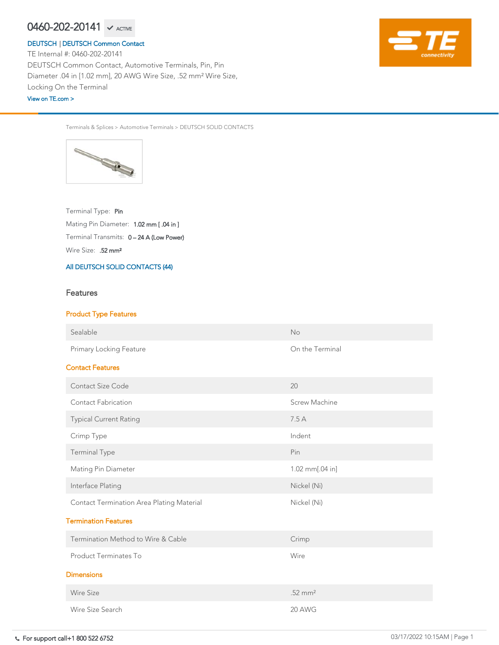Wire Size: .52 mm<sup>2</sup> Terminal Transmits: 0 – 24 A (Low Power) Mating Pin Diameter: 1.02 mm [ .04 in ] Terminal Type: Pin

Terminals & Splices > Automotive Terminals > DEUTSCH SOLID CONTACTS



[All DEUTSCH SOLID CONTACTS \(44\)](https://www.te.com/usa-en/product-0460-202-20141.html)

# **Features**

# Product Type Features

Sealable No. 2006. The Sealable Contract of the Sealable Contract of the No. 2006. No. 2006. No. 2006. No. 201

Primary Locking Feature **Conservation** Con the Terminal

# Contact Features

| <b>Contact Size Code</b>                         | 20                   |  |  |  |  |  |
|--------------------------------------------------|----------------------|--|--|--|--|--|
| <b>Contact Fabrication</b>                       | <b>Screw Machine</b> |  |  |  |  |  |
| <b>Typical Current Rating</b>                    | 7.5A                 |  |  |  |  |  |
| Crimp Type                                       | Indent               |  |  |  |  |  |
| <b>Terminal Type</b>                             | Pin                  |  |  |  |  |  |
| <b>Mating Pin Diameter</b>                       | 1.02 mm $[.04]$ in]  |  |  |  |  |  |
| Interface Plating                                | Nickel (Ni)          |  |  |  |  |  |
| <b>Contact Termination Area Plating Material</b> | Nickel (Ni)          |  |  |  |  |  |
| <b>Termination Features</b>                      |                      |  |  |  |  |  |
| Termination Method to Wire & Cable               | Crimp                |  |  |  |  |  |
| <b>Product Terminates To</b>                     | Wire                 |  |  |  |  |  |
| <b>Dimensions</b>                                |                      |  |  |  |  |  |
| <b>Wire Size</b>                                 | $.52 \text{ mm}^2$   |  |  |  |  |  |
| Wire Size Search                                 | 20 AWG               |  |  |  |  |  |

TE Internal #: 0460-202-20141 DEUTSCH Common Contact, Automotive Terminals, Pin, Pin Diameter .04 in [1.02 mm], 20 AWG Wire Size, .52 mm² Wire Size, Locking On the Terminal

# $0460$ – $202$ – $20141$   $\checkmark$  active

### [DEUTSCH](https://www.te.com/usa-en/plp/Zn9b.html) | [DEUTSCH Common Contact](https://www.te.com/usa-en/plp/X27xk.html)

[View on TE.com >](https://www.te.com/usa-en/product-0460-202-20141.html)

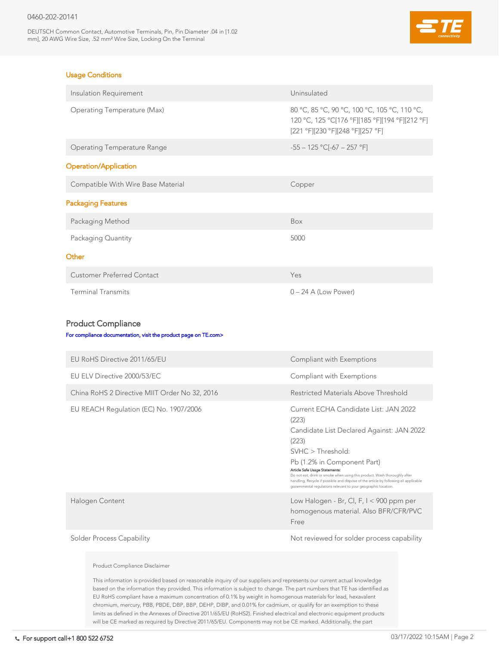DEUTSCH Common Contact, Automotive Terminals, Pin, Pin Diameter .04 in [1.02 mm], 20 AWG Wire Size, .52 mm² Wire Size, Locking On the Terminal



# Usage Conditions

| Insulation Requirement                                          | Uninsulated                                                                                                                        |  |  |  |  |  |
|-----------------------------------------------------------------|------------------------------------------------------------------------------------------------------------------------------------|--|--|--|--|--|
| <b>Operating Temperature (Max)</b>                              | 80 °C, 85 °C, 90 °C, 100 °C, 105 °C, 110 °C,<br>120 °C, 125 °C[176 °F][185 °F][194 °F][212 °F]<br>[221 °F][230 °F][248 °F][257 °F] |  |  |  |  |  |
| <b>Operating Temperature Range</b>                              | $-55 - 125$ °C[-67 - 257 °F]                                                                                                       |  |  |  |  |  |
| <b>Operation/Application</b>                                    |                                                                                                                                    |  |  |  |  |  |
| Compatible With Wire Base Material                              | Copper                                                                                                                             |  |  |  |  |  |
| <b>Packaging Features</b>                                       |                                                                                                                                    |  |  |  |  |  |
| Packaging Method                                                | Box                                                                                                                                |  |  |  |  |  |
| Packaging Quantity                                              | 5000                                                                                                                               |  |  |  |  |  |
| Other                                                           |                                                                                                                                    |  |  |  |  |  |
| <b>Customer Preferred Contact</b>                               | Yes                                                                                                                                |  |  |  |  |  |
| <b>Terminal Transmits</b>                                       | $0 - 24$ A (Low Power)                                                                                                             |  |  |  |  |  |
|                                                                 |                                                                                                                                    |  |  |  |  |  |
| <b>Product Compliance</b>                                       |                                                                                                                                    |  |  |  |  |  |
| For compliance documentation, visit the product page on TE.com> |                                                                                                                                    |  |  |  |  |  |

### EU RoHS Directive 2011/65/EU **Compliant with Exemptions**

| EU ELV Directive 2000/53/EC                   | Compliant with Exemptions                                                                                                                                                                                                                                                                                                                                                                                                         |
|-----------------------------------------------|-----------------------------------------------------------------------------------------------------------------------------------------------------------------------------------------------------------------------------------------------------------------------------------------------------------------------------------------------------------------------------------------------------------------------------------|
| China RoHS 2 Directive MIIT Order No 32, 2016 | Restricted Materials Above Threshold                                                                                                                                                                                                                                                                                                                                                                                              |
| EU REACH Regulation (EC) No. 1907/2006        | Current ECHA Candidate List: JAN 2022<br>(223)<br>Candidate List Declared Against: JAN 2022<br>(223)<br>SVHC > Threshold:<br>Pb (1.2% in Component Part)<br>Article Safe Usage Statements:<br>Do not eat, drink or smoke when using this product. Wash thoroughly after<br>handling. Recycle if possible and dispose of the article by following all applicable<br>governmental regulations relevant to your geographic location. |
| Halogen Content                               | Low Halogen - Br, Cl, F, $I < 900$ ppm per<br>homogenous material. Also BFR/CFR/PVC<br>Free                                                                                                                                                                                                                                                                                                                                       |
| <b>Solder Process Capability</b>              | Not reviewed for solder process capability                                                                                                                                                                                                                                                                                                                                                                                        |

### Product Compliance Disclaimer

This information is provided based on reasonable inquiry of our suppliers and represents our current actual knowledge based on the information they provided. This information is subject to change. The part numbers that TE has identified as EU RoHS compliant have a maximum concentration of 0.1% by weight in homogenous materials for lead, hexavalent chromium, mercury, PBB, PBDE, DBP, BBP, DEHP, DIBP, and 0.01% for cadmium, or qualify for an exemption to these limits as defined in the Annexes of Directive 2011/65/EU (RoHS2). Finished electrical and electronic equipment products will be CE marked as required by Directive 2011/65/EU. Components may not be CE marked. Additionally, the part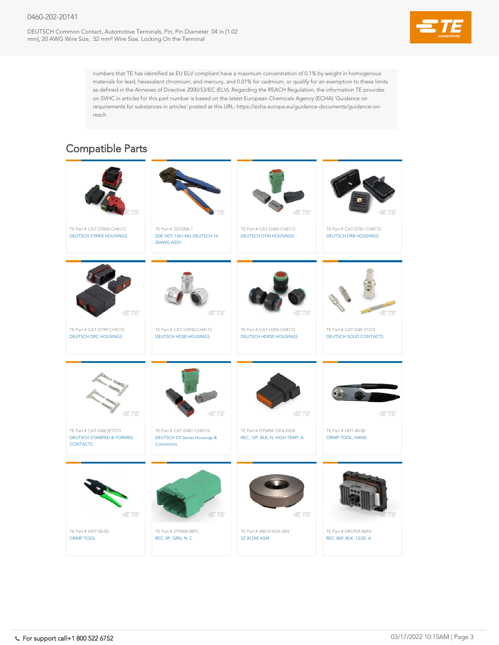DEUTSCH Common Contact, Automotive Terminals, Pin, Pin Diameter .04 in [1.02 mm], 20 AWG Wire Size, .52 mm² Wire Size, Locking On the Terminal



numbers that TE has identified as EU ELV compliant have a maximum concentration of 0.1% by weight in homogenous materials for lead, hexavalent chromium, and mercury, and 0.01% for cadmium, or qualify for an exemption to these limits as defined in the Annexes of Directive 2000/53/EC (ELV). Regarding the REACH Regulation, the information TE provides on SVHC in articles for this part number is based on the latest European Chemicals Agency (ECHA) 'Guidance on requirements for substances in articles' posted at this URL: https://echa.europa.eu/guidance-documents/guidance-onreach





# Compatible Parts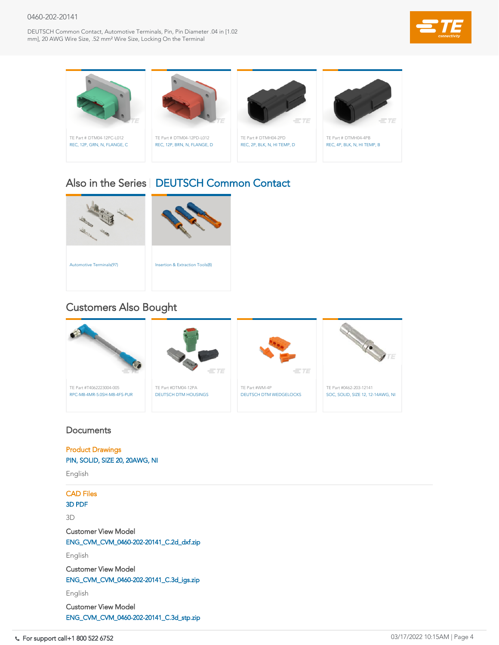DEUTSCH Common Contact, Automotive Terminals, Pin, Pin Diameter .04 in [1.02 mm], 20 AWG Wire Size, .52 mm² Wire Size, Locking On the Terminal



| ___                                                     | $\equiv T E$                                       | $\equiv$ TE                                     |                                                              |
|---------------------------------------------------------|----------------------------------------------------|-------------------------------------------------|--------------------------------------------------------------|
| TE Part #T4062223004-005<br>RPC-M8-4MR-5.0SH-M8-4FS-PUR | TE Part #DTM04-12PA<br><b>DEUTSCH DTM HOUSINGS</b> | TE Part #WM-4P<br><b>DEUTSCH DTM WEDGELOCKS</b> | TE Part #0462-203-12141<br>SOC, SOLID, SIZE 12, 12-14AWG, NI |

# **Documents**





# Also in the Series | [DEUTSCH Common Contact](https://www.te.com/usa-en/plp/X27xk.html)

# Customers Also Bought



Product Drawings [PIN, SOLID, SIZE 20, 20AWG, NI](https://www.te.com/commerce/DocumentDelivery/DDEController?Action=showdoc&DocId=Customer+Drawing%7F0460-202-20XX%7FD1%7Fpdf%7FEnglish%7FENG_CD_0460-202-20XX_D1.pdf%7F0460-202-20141)

English

CAD Files

[3D PDF](https://www.te.com/commerce/DocumentDelivery/DDEController?Action=showdoc&DocId=Customer+View+Model%7FCVM_0460-202-20141%7FC%7Fpdf%7F3D%7F3D_CVM_CVM_0460-202-20141_C.pdf%7F0460-202-20141)

3D

Customer View Model

[ENG\\_CVM\\_CVM\\_0460-202-20141\\_C.2d\\_dxf.zip](https://www.te.com/commerce/DocumentDelivery/DDEController?Action=showdoc&DocId=Customer+View+Model%7FCVM_0460-202-20141%7FC%7F2d_dxf.zip%7FEnglish%7FENG_CVM_CVM_0460-202-20141_C.2d_dxf.zip%7F0460-202-20141)

English

Customer View Model

[ENG\\_CVM\\_CVM\\_0460-202-20141\\_C.3d\\_igs.zip](https://www.te.com/commerce/DocumentDelivery/DDEController?Action=showdoc&DocId=Customer+View+Model%7FCVM_0460-202-20141%7FC%7F3d_igs.zip%7FEnglish%7FENG_CVM_CVM_0460-202-20141_C.3d_igs.zip%7F0460-202-20141)

English

Customer View Model

[ENG\\_CVM\\_CVM\\_0460-202-20141\\_C.3d\\_stp.zip](https://www.te.com/commerce/DocumentDelivery/DDEController?Action=showdoc&DocId=Customer+View+Model%7FCVM_0460-202-20141%7FC%7F3d_stp.zip%7FEnglish%7FENG_CVM_CVM_0460-202-20141_C.3d_stp.zip%7F0460-202-20141)